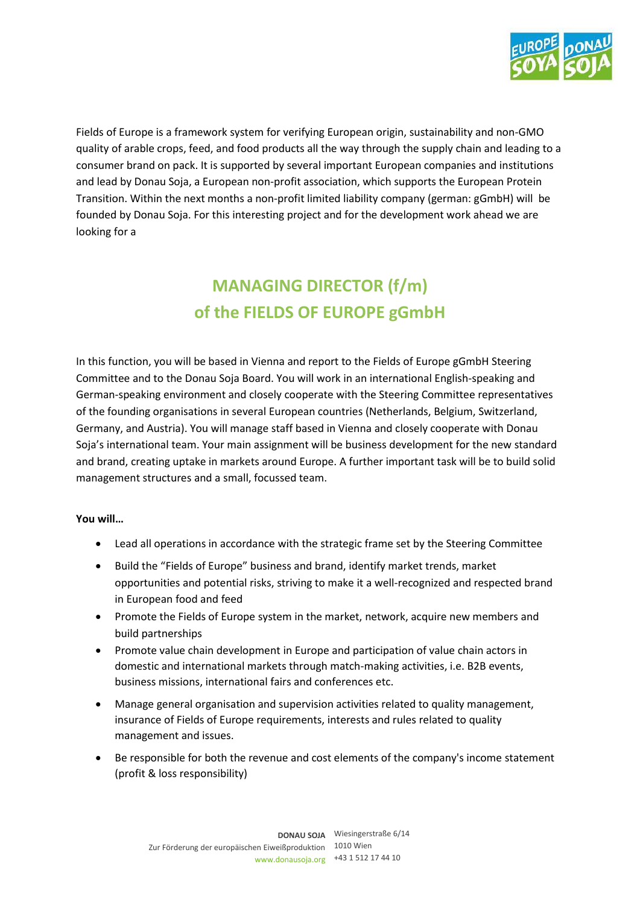

Fields of Europe is a framework system for verifying European origin, sustainability and non-GMO quality of arable crops, feed, and food products all the way through the supply chain and leading to a consumer brand on pack. It is supported by several important European companies and institutions and lead by Donau Soja, a European non-profit association, which supports the European Protein Transition. Within the next months a non-profit limited liability company (german: gGmbH) will be founded by Donau Soja. For this interesting project and for the development work ahead we are looking for a

# **MANAGING DIRECTOR (f/m) of the FIELDS OF EUROPE gGmbH**

In this function, you will be based in Vienna and report to the Fields of Europe gGmbH Steering Committee and to the Donau Soja Board. You will work in an international English-speaking and German-speaking environment and closely cooperate with the Steering Committee representatives of the founding organisations in several European countries (Netherlands, Belgium, Switzerland, Germany, and Austria). You will manage staff based in Vienna and closely cooperate with Donau Soja's international team. Your main assignment will be business development for the new standard and brand, creating uptake in markets around Europe. A further important task will be to build solid management structures and a small, focussed team.

## **You will…**

- Lead all operations in accordance with the strategic frame set by the Steering Committee
- Build the "Fields of Europe" business and brand, identify market trends, market opportunities and potential risks, striving to make it a well-recognized and respected brand in European food and feed
- Promote the Fields of Europe system in the market, network, acquire new members and build partnerships
- Promote value chain development in Europe and participation of value chain actors in domestic and international markets through match-making activities, i.e. B2B events, business missions, international fairs and conferences etc.
- Manage general organisation and supervision activities related to quality management, insurance of Fields of Europe requirements, interests and rules related to quality management and issues.
- Be responsible for both the revenue and cost elements of the company's income statement (profit & loss responsibility)